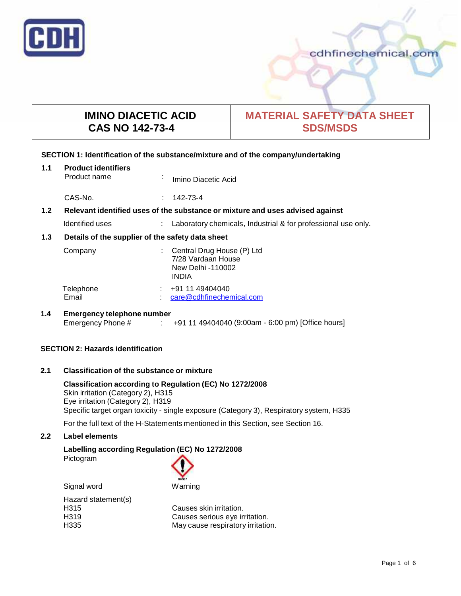

cdhfinechemical.com

# **IMINO DIACETIC ACID CAS NO 142-73-4**

# **MATERIAL SAFETY DATA SHEET SDS/MSDS**

## **SECTION 1: Identification of the substance/mixture and of the company/undertaking**

| 1.1 | <b>Product identifiers</b><br>Product name                                    | $\blacksquare$ | Imino Diacetic Acid                                                                   |
|-----|-------------------------------------------------------------------------------|----------------|---------------------------------------------------------------------------------------|
|     | CAS-No.                                                                       | ÷.             | 142-73-4                                                                              |
| 1.2 | Relevant identified uses of the substance or mixture and uses advised against |                |                                                                                       |
|     | Identified uses                                                               |                | Laboratory chemicals, Industrial & for professional use only.                         |
| 1.3 | Details of the supplier of the safety data sheet                              |                |                                                                                       |
|     | Company                                                                       |                | Central Drug House (P) Ltd<br>7/28 Vardaan House<br>New Delhi -110002<br><b>INDIA</b> |
|     | Telephone<br>Email                                                            |                | +91 11 49404040<br>care@cdhfinechemical.com                                           |

# **1.4 Emergency telephone number** : +91 11 49404040 (9:00am - 6:00 pm) [Office hours]

## **SECTION 2: Hazards identification**

# **2.1 Classification of the substance ormixture**

## **Classification according to Regulation (EC) No 1272/2008** Skin irritation (Category 2), H315 Eye irritation (Category 2), H319 Specific target organ toxicity - single exposure (Category 3), Respiratory system, H335

For the full text of the H-Statements mentioned in this Section, see Section 16.

# **2.2 Label elements**

# **Labelling according Regulation (EC) No 1272/2008**

Pictogram

| GHS07   |
|---------|
| Warning |

| Signal word         | Warning |
|---------------------|---------|
| Hazard statement(s) |         |
| H315                | Causes: |
| H <sub>3</sub> 19   | Causes: |
| H335                | May cau |

| H315 | Causes skin irritation.           |
|------|-----------------------------------|
| H319 | Causes serious eye irritation.    |
| H335 | May cause respiratory irritation. |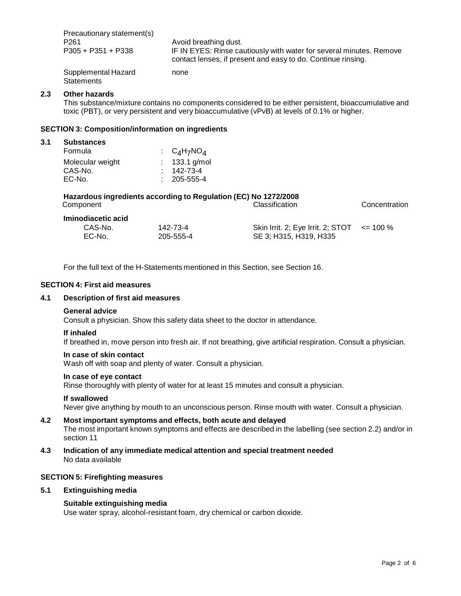| Precautionary statement(s)        | Avoid breathing dust.                                               |  |
|-----------------------------------|---------------------------------------------------------------------|--|
| P261                              | IF IN EYES: Rinse cautiously with water for several minutes. Remove |  |
| P305 + P351 + P338                | contact lenses, if present and easy to do. Continue rinsing.        |  |
| Supplemental Hazard<br>Statements | none                                                                |  |

#### **2.3 Other hazards**

This substance/mixture contains no components considered to be either persistent, bioaccumulative and toxic (PBT), or very persistent and very bioaccumulative (vPvB) at levels of 0.1% or higher.

#### **SECTION 3: Composition/information on ingredients**

| <b>Substances</b> |  |                                                                                                                        |
|-------------------|--|------------------------------------------------------------------------------------------------------------------------|
| Formula           |  |                                                                                                                        |
| Molecular weight  |  |                                                                                                                        |
| CAS-No.           |  |                                                                                                                        |
| EC-No.            |  |                                                                                                                        |
|                   |  | $\therefore$ C <sub>4</sub> H <sub>7</sub> NO <sub>4</sub><br>: $133.1$ g/mol<br>$: 142 - 73 - 4$<br>$: 205 - 555 - 4$ |

| Hazardous ingredients according to Regulation (EC) No 1272/2008 |                |               |
|-----------------------------------------------------------------|----------------|---------------|
| Component                                                       | Classification | Concentration |

**Iminodiacetic acid** 142-73-4 EC-No. 205-555-4 Skin Irrit. 2; Eye Irrit. 2; STOT SE 3; H315, H319, H335  $\leq$  100 %

For the full text of the H-Statements mentioned in this Section, see Section 16.

#### **SECTION 4: First aid measures**

# **4.1 Description of first aid measures**

#### **General advice**

Consult a physician. Show this safety data sheet to the doctor in attendance.

#### **If inhaled**

If breathed in, move person into fresh air. If not breathing, give artificial respiration. Consult a physician.

## **In case of skin contact**

Wash off with soap and plenty of water. Consult a physician.

#### **In case of eye contact**

Rinse thoroughly with plenty of water for at least 15 minutes and consult a physician.

### **If swallowed**

Never give anything by mouth to an unconscious person. Rinse mouth with water. Consult a physician.

## **4.2 Most important symptoms and effects, both acute and delayed** The most important known symptoms and effects are described in the labelling (see section 2.2) and/or in section 11

**4.3 Indication of any immediate medical attention and special treatment needed** No data available

#### **SECTION 5: Firefighting measures**

#### **5.1 Extinguishing media**

#### **Suitable extinguishing media**

Use water spray, alcohol-resistant foam, dry chemical or carbon dioxide.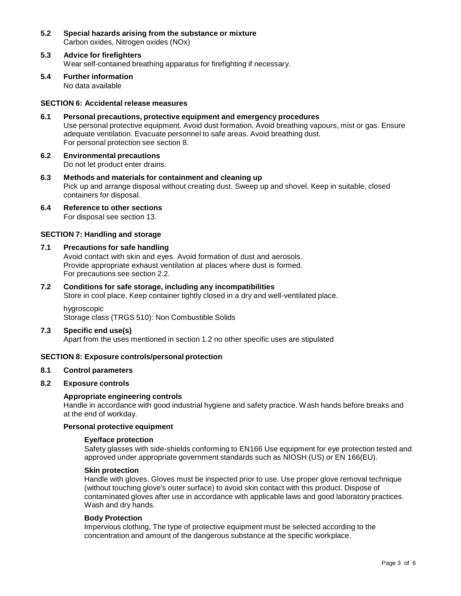- **5.2 Special hazards arising from the substance ormixture** Carbon oxides, Nitrogen oxides (NOx)
- **5.3 Advice for firefighters** Wear self-contained breathing apparatus for firefighting if necessary.
- **5.4 Further information** No data available

## **SECTION 6: Accidental release measures**

- **6.1 Personal precautions, protective equipment and emergency procedures** Use personal protective equipment. Avoid dust formation. Avoid breathing vapours, mist or gas. Ensure adequate ventilation. Evacuate personnel to safe areas. Avoid breathing dust. For personal protection see section 8.
- **6.2 Environmental precautions** Do not let product enter drains.
- **6.3 Methods and materials for containment and cleaning up** Pick up and arrange disposal without creating dust. Sweep up and shovel. Keep in suitable, closed containers for disposal.
- **6.4 Reference to other sections** For disposal see section 13.

#### **SECTION 7: Handling and storage**

#### **7.1 Precautions for safe handling**

Avoid contact with skin and eyes. Avoid formation of dust and aerosols. Provide appropriate exhaust ventilation at places where dust is formed. For precautions see section 2.2.

## **7.2 Conditions for safe storage, including any incompatibilities**

Store in cool place. Keep container tightly closed in a dry and well-ventilated place.

hygroscopic Storage class (TRGS 510): Non Combustible Solids

#### **7.3 Specific end use(s)**

Apart from the uses mentioned in section 1.2 no other specific uses are stipulated

## **SECTION 8: Exposure controls/personal protection**

### **8.1 Control parameters**

#### **8.2 Exposure controls**

#### **Appropriate engineering controls**

Handle in accordance with good industrial hygiene and safety practice. Wash hands before breaks and at the end of workday.

### **Personal protective equipment**

#### **Eye/face protection**

Safety glasses with side-shields conforming to EN166 Use equipment for eye protection tested and approved under appropriate government standards such as NIOSH (US) or EN 166(EU).

#### **Skin protection**

Handle with gloves. Gloves must be inspected prior to use. Use proper glove removal technique (without touching glove's outer surface) to avoid skin contact with this product. Dispose of contaminated gloves after use in accordance with applicable laws and good laboratory practices. Wash and dry hands.

#### **Body Protection**

Impervious clothing, The type of protective equipment must be selected according to the concentration and amount of the dangerous substance at the specific workplace.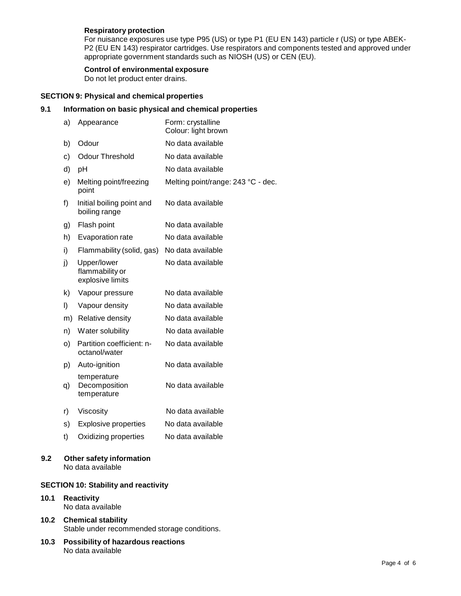## **Respiratory protection**

For nuisance exposures use type P95 (US) or type P1 (EU EN 143) particle r (US) or type ABEK- P2 (EU EN 143) respirator cartridges. Use respirators and components tested and approved under appropriate government standards such as NIOSH (US) or CEN (EU).

### **Control of environmental exposure**

Do not let product enter drains.

# **SECTION 9: Physical and chemical properties**

# **9.1 Information on basic physical and chemical properties**

| a) | Appearance                                         | Form: crystalline<br>Colour: light brown |
|----|----------------------------------------------------|------------------------------------------|
| b) | Odour                                              | No data available                        |
| c) | <b>Odour Threshold</b>                             | No data available                        |
| d) | pH                                                 | No data available                        |
| e) | Melting point/freezing<br>point                    | Melting point/range: 243 °C - dec.       |
| f) | Initial boiling point and<br>boiling range         | No data available                        |
| g) | Flash point                                        | No data available                        |
| h) | Evaporation rate                                   | No data available                        |
| i) | Flammability (solid, gas)                          | No data available                        |
| j) | Upper/lower<br>flammability or<br>explosive limits | No data available                        |
| k) | Vapour pressure                                    | No data available                        |
| I) | Vapour density                                     | No data available                        |
| m) | Relative density                                   | No data available                        |
| n) | Water solubility                                   | No data available                        |
| o) | Partition coefficient: n-<br>octanol/water         | No data available                        |
| p) | Auto-ignition                                      | No data available                        |
| q) | temperature<br>Decomposition<br>temperature        | No data available                        |
| r) | Viscosity                                          | No data available                        |
| s) | <b>Explosive properties</b>                        | No data available                        |
| t) | Oxidizing properties                               | No data available                        |

# **9.2 Other safety information** No data available

## **SECTION 10: Stability and reactivity**

## **10.1 Reactivity** No data available

# **10.2 Chemical stability** Stable under recommended storage conditions.

**10.3 Possibility of hazardous reactions** No data available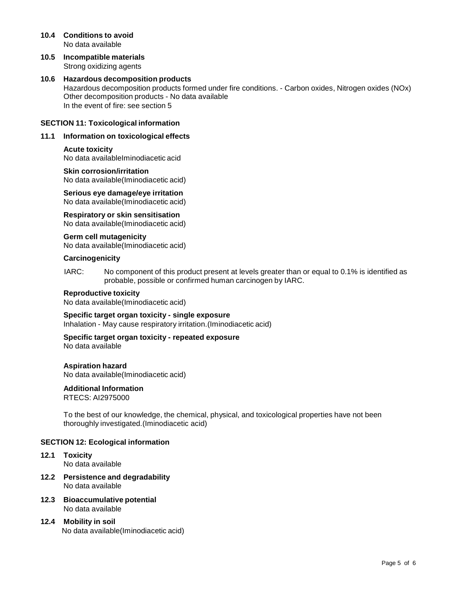- **10.4 Conditions to avoid** No data available
- **10.5 Incompatible materials** Strong oxidizing agents
- **10.6 Hazardous decomposition products** Hazardous decomposition products formed under fire conditions. - Carbon oxides, Nitrogen oxides (NOx) Other decomposition products - No data available In the event of fire: see section 5

#### **SECTION 11: Toxicological information**

## **11.1 Information on toxicological effects**

**Acute toxicity** No data availableIminodiacetic acid

**Skin corrosion/irritation** No data available(Iminodiacetic acid)

**Serious eye damage/eye irritation** No data available(Iminodiacetic acid)

**Respiratory orskin sensitisation** No data available(Iminodiacetic acid)

**Germ cell mutagenicity** No data available(Iminodiacetic acid)

**Carcinogenicity**

IARC: No component of this product present at levels greater than or equal to 0.1% is identified as probable, possible or confirmed human carcinogen by IARC.

#### **Reproductive toxicity**

No data available(Iminodiacetic acid)

**Specific target organ toxicity - single exposure** Inhalation - May cause respiratory irritation.(Iminodiacetic acid)

**Specific target organ toxicity - repeated exposure**

No data available

**Aspiration hazard** No data available(Iminodiacetic acid)

**Additional Information**

RTECS: AI2975000

To the best of our knowledge, the chemical, physical, and toxicological properties have not been thoroughly investigated.(Iminodiacetic acid)

## **SECTION 12: Ecological information**

- **12.1 Toxicity** No data available
- **12.2 Persistence and degradability** No data available
- **12.3 Bioaccumulative potential** No data available
- **12.4 Mobility in soil** No data available(Iminodiacetic acid)